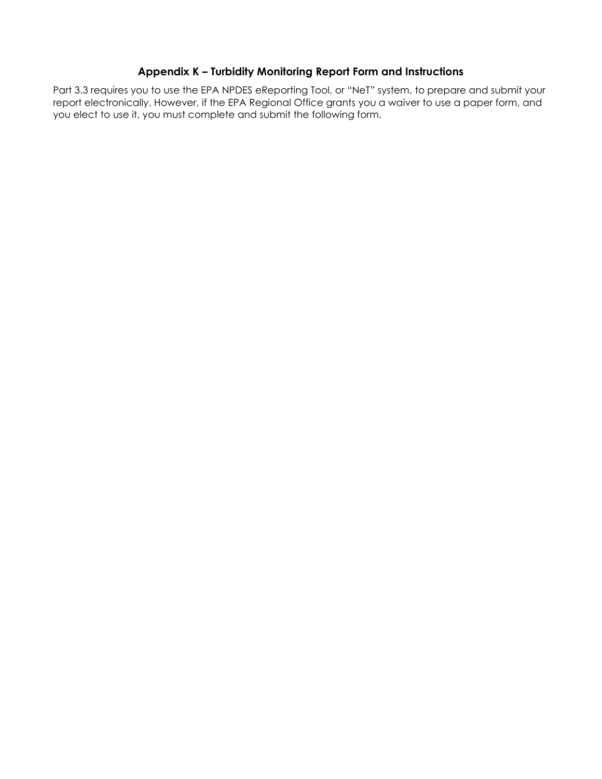# **Appendix K – Turbidity Monitoring Report Form and Instructions**

Part 3.3 requires you to use the EPA NPDES eReporting Tool, or "NeT" system, to prepare and submit your report electronically. However, if the EPA Regional Office grants you a waiver to use a paper form, and you elect to use it, you must complete and submit the following form.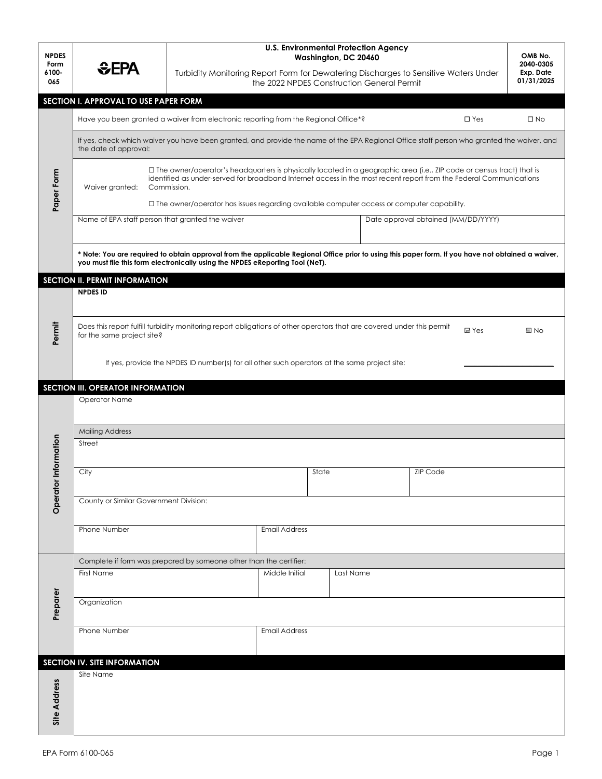| <b>NPDES</b>         |                                                                                                                                                                                                                                                                                 |                                                                                                                        | <b>U.S. Environmental Protection Agency</b><br>Washington, DC 20460<br>Turbidity Monitoring Report Form for Dewatering Discharges to Sensitive Waters Under<br>the 2022 NPDES Construction General Permit |                             |  |  |                 |       |      |  |  |  |  |  |
|----------------------|---------------------------------------------------------------------------------------------------------------------------------------------------------------------------------------------------------------------------------------------------------------------------------|------------------------------------------------------------------------------------------------------------------------|-----------------------------------------------------------------------------------------------------------------------------------------------------------------------------------------------------------|-----------------------------|--|--|-----------------|-------|------|--|--|--|--|--|
| Form<br>6100-<br>065 | EPA                                                                                                                                                                                                                                                                             |                                                                                                                        |                                                                                                                                                                                                           |                             |  |  |                 |       |      |  |  |  |  |  |
|                      | SECTION I. APPROVAL TO USE PAPER FORM                                                                                                                                                                                                                                           |                                                                                                                        |                                                                                                                                                                                                           |                             |  |  |                 |       |      |  |  |  |  |  |
|                      | Have you been granted a waiver from electronic reporting from the Regional Office*?<br>$\Box$ Yes                                                                                                                                                                               |                                                                                                                        |                                                                                                                                                                                                           |                             |  |  |                 |       |      |  |  |  |  |  |
|                      | If yes, check which waiver you have been granted, and provide the name of the EPA Regional Office staff person who granted the waiver, and<br>the date of approval:                                                                                                             |                                                                                                                        |                                                                                                                                                                                                           |                             |  |  |                 |       |      |  |  |  |  |  |
| Paper Form           | □ The owner/operator's headquarters is physically located in a geographic area (i.e., ZIP code or census tract) that is<br>identified as under-served for broadband Internet access in the most recent report from the Federal Communications<br>Waiver granted:<br>Commission. |                                                                                                                        |                                                                                                                                                                                                           |                             |  |  |                 |       |      |  |  |  |  |  |
|                      | $\Box$ The owner/operator has issues regarding available computer access or computer capability.<br>Name of EPA staff person that granted the waiver<br>Date approval obtained (MM/DD/YYYY)                                                                                     |                                                                                                                        |                                                                                                                                                                                                           |                             |  |  |                 |       |      |  |  |  |  |  |
|                      |                                                                                                                                                                                                                                                                                 |                                                                                                                        |                                                                                                                                                                                                           |                             |  |  |                 |       |      |  |  |  |  |  |
|                      | * Note: You are required to obtain approval from the applicable Regional Office prior to using this paper form. If you have not obtained a waiver,<br>you must file this form electronically using the NPDES eReporting Tool (NeT).                                             |                                                                                                                        |                                                                                                                                                                                                           |                             |  |  |                 |       |      |  |  |  |  |  |
|                      | <b>SECTION II. PERMIT INFORMATION</b>                                                                                                                                                                                                                                           |                                                                                                                        |                                                                                                                                                                                                           |                             |  |  |                 |       |      |  |  |  |  |  |
|                      | <b>NPDES ID</b>                                                                                                                                                                                                                                                                 |                                                                                                                        |                                                                                                                                                                                                           |                             |  |  |                 |       |      |  |  |  |  |  |
| Permit               | for the same project site?                                                                                                                                                                                                                                                      | Does this report fulfill turbidity monitoring report obligations of other operators that are covered under this permit |                                                                                                                                                                                                           |                             |  |  |                 | ■ Yes | ⊟ No |  |  |  |  |  |
|                      |                                                                                                                                                                                                                                                                                 |                                                                                                                        |                                                                                                                                                                                                           |                             |  |  |                 |       |      |  |  |  |  |  |
|                      | If yes, provide the NPDES ID number(s) for all other such operators at the same project site:                                                                                                                                                                                   |                                                                                                                        |                                                                                                                                                                                                           |                             |  |  |                 |       |      |  |  |  |  |  |
|                      | SECTION III. OPERATOR INFORMATION                                                                                                                                                                                                                                               |                                                                                                                        |                                                                                                                                                                                                           |                             |  |  |                 |       |      |  |  |  |  |  |
|                      | Operator Name                                                                                                                                                                                                                                                                   |                                                                                                                        |                                                                                                                                                                                                           |                             |  |  |                 |       |      |  |  |  |  |  |
|                      |                                                                                                                                                                                                                                                                                 |                                                                                                                        |                                                                                                                                                                                                           |                             |  |  |                 |       |      |  |  |  |  |  |
|                      | <b>Mailing Address</b>                                                                                                                                                                                                                                                          |                                                                                                                        |                                                                                                                                                                                                           |                             |  |  |                 |       |      |  |  |  |  |  |
| Information          | Street                                                                                                                                                                                                                                                                          |                                                                                                                        |                                                                                                                                                                                                           |                             |  |  |                 |       |      |  |  |  |  |  |
|                      | City                                                                                                                                                                                                                                                                            |                                                                                                                        |                                                                                                                                                                                                           | State                       |  |  | <b>ZIP Code</b> |       |      |  |  |  |  |  |
|                      |                                                                                                                                                                                                                                                                                 |                                                                                                                        |                                                                                                                                                                                                           |                             |  |  |                 |       |      |  |  |  |  |  |
| Operator             | County or Similar Government Division:                                                                                                                                                                                                                                          |                                                                                                                        |                                                                                                                                                                                                           |                             |  |  |                 |       |      |  |  |  |  |  |
|                      | Phone Number<br><b>Email Address</b>                                                                                                                                                                                                                                            |                                                                                                                        |                                                                                                                                                                                                           |                             |  |  |                 |       |      |  |  |  |  |  |
|                      |                                                                                                                                                                                                                                                                                 |                                                                                                                        |                                                                                                                                                                                                           |                             |  |  |                 |       |      |  |  |  |  |  |
|                      | Complete if form was prepared by someone other than the certifier:                                                                                                                                                                                                              |                                                                                                                        |                                                                                                                                                                                                           |                             |  |  |                 |       |      |  |  |  |  |  |
|                      | First Name                                                                                                                                                                                                                                                                      |                                                                                                                        |                                                                                                                                                                                                           | Middle Initial<br>Last Name |  |  |                 |       |      |  |  |  |  |  |
| Preparer             | Organization                                                                                                                                                                                                                                                                    |                                                                                                                        |                                                                                                                                                                                                           |                             |  |  |                 |       |      |  |  |  |  |  |
|                      | Phone Number<br><b>Email Address</b>                                                                                                                                                                                                                                            |                                                                                                                        |                                                                                                                                                                                                           |                             |  |  |                 |       |      |  |  |  |  |  |
|                      | SECTION IV. SITE INFORMATION                                                                                                                                                                                                                                                    |                                                                                                                        |                                                                                                                                                                                                           |                             |  |  |                 |       |      |  |  |  |  |  |
|                      | Site Name                                                                                                                                                                                                                                                                       |                                                                                                                        |                                                                                                                                                                                                           |                             |  |  |                 |       |      |  |  |  |  |  |
| <b>Site Address</b>  |                                                                                                                                                                                                                                                                                 |                                                                                                                        |                                                                                                                                                                                                           |                             |  |  |                 |       |      |  |  |  |  |  |
|                      |                                                                                                                                                                                                                                                                                 |                                                                                                                        |                                                                                                                                                                                                           |                             |  |  |                 |       |      |  |  |  |  |  |
|                      |                                                                                                                                                                                                                                                                                 |                                                                                                                        |                                                                                                                                                                                                           |                             |  |  |                 |       |      |  |  |  |  |  |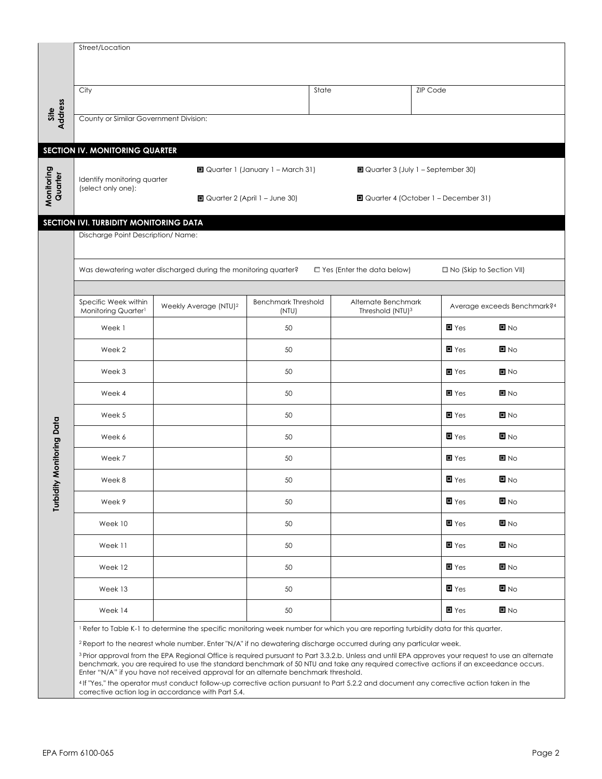|                        | Street/Location                                                                                                                   |                                                                                                                                                                                                                                                                                               |                                    |                              |                                       |                             |  |  |  |  |  |  |  |  |
|------------------------|-----------------------------------------------------------------------------------------------------------------------------------|-----------------------------------------------------------------------------------------------------------------------------------------------------------------------------------------------------------------------------------------------------------------------------------------------|------------------------------------|------------------------------|---------------------------------------|-----------------------------|--|--|--|--|--|--|--|--|
|                        |                                                                                                                                   |                                                                                                                                                                                                                                                                                               |                                    |                              |                                       |                             |  |  |  |  |  |  |  |  |
|                        | City                                                                                                                              |                                                                                                                                                                                                                                                                                               |                                    | State                        | <b>ZIP Code</b>                       |                             |  |  |  |  |  |  |  |  |
|                        |                                                                                                                                   |                                                                                                                                                                                                                                                                                               |                                    |                              |                                       |                             |  |  |  |  |  |  |  |  |
| Site<br>Address        | County or Similar Government Division:                                                                                            |                                                                                                                                                                                                                                                                                               |                                    |                              |                                       |                             |  |  |  |  |  |  |  |  |
|                        | <b>SECTION IV. MONITORING QUARTER</b>                                                                                             |                                                                                                                                                                                                                                                                                               |                                    |                              |                                       |                             |  |  |  |  |  |  |  |  |
|                        |                                                                                                                                   |                                                                                                                                                                                                                                                                                               | ■ Quarter 1 (January 1 - March 31) |                              | ■ Quarter 3 (July 1 - September 30)   |                             |  |  |  |  |  |  |  |  |
| Monitoring<br>Quarter  | Identify monitoring quarter<br>(select only one):                                                                                 |                                                                                                                                                                                                                                                                                               |                                    |                              |                                       |                             |  |  |  |  |  |  |  |  |
|                        |                                                                                                                                   |                                                                                                                                                                                                                                                                                               | ■ Quarter 2 (April 1 – June 30)    |                              | □ Quarter 4 (October 1 – December 31) |                             |  |  |  |  |  |  |  |  |
|                        | SECTION IVI. TURBIDITY MONITORING DATA                                                                                            |                                                                                                                                                                                                                                                                                               |                                    |                              |                                       |                             |  |  |  |  |  |  |  |  |
|                        | Discharge Point Description/ Name:                                                                                                |                                                                                                                                                                                                                                                                                               |                                    |                              |                                       |                             |  |  |  |  |  |  |  |  |
|                        |                                                                                                                                   |                                                                                                                                                                                                                                                                                               |                                    |                              |                                       |                             |  |  |  |  |  |  |  |  |
|                        | Was dewatering water discharged during the monitoring quarter?<br>$\Box$ Yes (Enter the data below)<br>□ No (Skip to Section VII) |                                                                                                                                                                                                                                                                                               |                                    |                              |                                       |                             |  |  |  |  |  |  |  |  |
|                        | Specific Week within                                                                                                              | Weekly Average (NTU) <sup>2</sup>                                                                                                                                                                                                                                                             | <b>Benchmark Threshold</b>         | Alternate Benchmark          |                                       | Average exceeds Benchmark?4 |  |  |  |  |  |  |  |  |
|                        | Monitoring Quarter1                                                                                                               |                                                                                                                                                                                                                                                                                               | (NTU)                              | Threshold (NTU) <sup>3</sup> | $\blacksquare$ Yes                    | $\blacksquare$ No           |  |  |  |  |  |  |  |  |
|                        | Week 1                                                                                                                            |                                                                                                                                                                                                                                                                                               | 50                                 |                              |                                       |                             |  |  |  |  |  |  |  |  |
|                        | Week 2                                                                                                                            |                                                                                                                                                                                                                                                                                               | 50                                 |                              | $\blacksquare$ Yes                    | $\blacksquare$ No           |  |  |  |  |  |  |  |  |
|                        | Week 3                                                                                                                            |                                                                                                                                                                                                                                                                                               | 50                                 |                              | $\blacksquare$ Yes                    | $\blacksquare$ No           |  |  |  |  |  |  |  |  |
|                        | Week 4                                                                                                                            |                                                                                                                                                                                                                                                                                               | 50                                 |                              | $\blacksquare$ Yes                    | $\blacksquare$ No           |  |  |  |  |  |  |  |  |
|                        | Week 5                                                                                                                            |                                                                                                                                                                                                                                                                                               | 50                                 |                              | $\blacksquare$ Yes                    | $\blacksquare$ No           |  |  |  |  |  |  |  |  |
|                        | Week 6                                                                                                                            |                                                                                                                                                                                                                                                                                               | 50                                 |                              | $\blacksquare$ Yes                    | $\blacksquare$ No           |  |  |  |  |  |  |  |  |
| <b>Monitoring Data</b> | Week 7                                                                                                                            |                                                                                                                                                                                                                                                                                               | 50                                 |                              | $\blacksquare$ Yes                    | $\blacksquare$ No           |  |  |  |  |  |  |  |  |
|                        | Week 8                                                                                                                            |                                                                                                                                                                                                                                                                                               | 50                                 |                              | $\blacksquare$ Yes                    | $\blacksquare$ No           |  |  |  |  |  |  |  |  |
| Turbidity              | Week 9                                                                                                                            |                                                                                                                                                                                                                                                                                               | 50                                 |                              | $\blacksquare$ Yes                    | $\blacksquare$ No           |  |  |  |  |  |  |  |  |
|                        | Week 10                                                                                                                           |                                                                                                                                                                                                                                                                                               | 50                                 |                              | $\blacksquare$ Yes                    | $\blacksquare$ No           |  |  |  |  |  |  |  |  |
|                        | Week 11                                                                                                                           |                                                                                                                                                                                                                                                                                               | 50                                 |                              | $\blacksquare$ Yes                    | $\blacksquare$ No           |  |  |  |  |  |  |  |  |
|                        | Week 12                                                                                                                           |                                                                                                                                                                                                                                                                                               | 50                                 |                              | $\blacksquare$ Yes                    | $\blacksquare$ No           |  |  |  |  |  |  |  |  |
|                        | Week 13                                                                                                                           |                                                                                                                                                                                                                                                                                               | 50                                 |                              | $\blacksquare$ Yes                    | $\blacksquare$ No           |  |  |  |  |  |  |  |  |
|                        | Week 14                                                                                                                           |                                                                                                                                                                                                                                                                                               | 50                                 |                              | $\blacksquare$ Yes                    | $\blacksquare$ No           |  |  |  |  |  |  |  |  |
|                        |                                                                                                                                   | Refer to Table K-1 to determine the specific monitoring week number for which you are reporting turbidity data for this quarter.                                                                                                                                                              |                                    |                              |                                       |                             |  |  |  |  |  |  |  |  |
|                        |                                                                                                                                   | <sup>2</sup> Report to the nearest whole number. Enter "N/A" if no dewatering discharge occurred during any particular week.<br><sup>3</sup> Prior approval from the EPA Regional Office is required pursuant to Part 3.3.2.b. Unless and until EPA approves your request to use an alternate |                                    |                              |                                       |                             |  |  |  |  |  |  |  |  |
|                        |                                                                                                                                   | benchmark, you are required to use the standard benchmark of 50 NTU and take any required corrective actions if an exceedance occurs.<br>Enter "N/A" if you have not received approval for an alternate benchmark threshold.                                                                  |                                    |                              |                                       |                             |  |  |  |  |  |  |  |  |

<sup>4</sup>If "Yes," the operator must conduct follow-up corrective action pursuant to Part 5.2.2 and document any corrective action taken in the corrective action log in accordance with Part 5.4.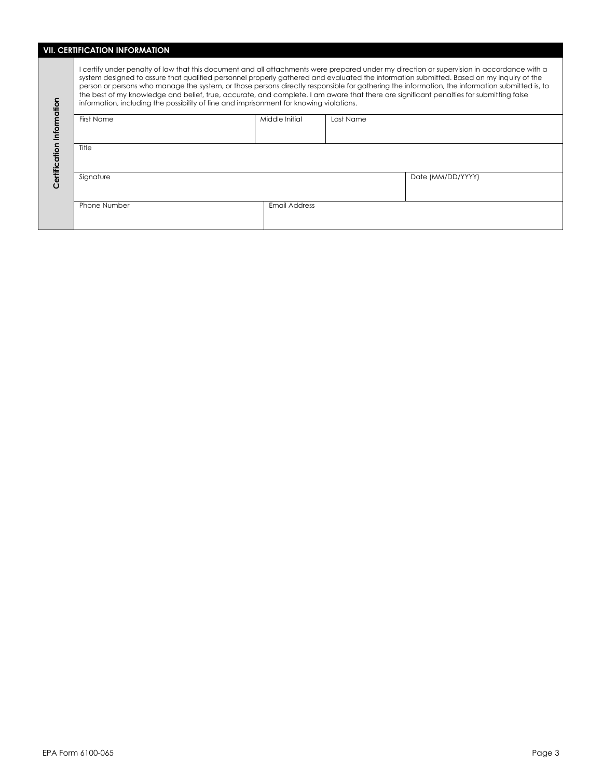# **VII. CERTIFICATION INFORMATION**

L

| ation<br>Inform<br>δ<br>Certificati | I certify under penalty of law that this document and all attachments were prepared under my direction or supervision in accordance with a<br>system designed to assure that qualified personnel properly gathered and evaluated the information submitted. Based on my inquiry of the<br>person or persons who manage the system, or those persons directly responsible for gathering the information, the information submitted is, to<br>the best of my knowledge and belief, true, accurate, and complete. I am aware that there are significant penalties for submitting false<br>information, including the possibility of fine and imprisonment for knowing violations. |                |                   |  |  |  |  |  |  |  |  |  |
|-------------------------------------|--------------------------------------------------------------------------------------------------------------------------------------------------------------------------------------------------------------------------------------------------------------------------------------------------------------------------------------------------------------------------------------------------------------------------------------------------------------------------------------------------------------------------------------------------------------------------------------------------------------------------------------------------------------------------------|----------------|-------------------|--|--|--|--|--|--|--|--|--|
|                                     | First Name                                                                                                                                                                                                                                                                                                                                                                                                                                                                                                                                                                                                                                                                     | Middle Initial | Last Name         |  |  |  |  |  |  |  |  |  |
|                                     | Title                                                                                                                                                                                                                                                                                                                                                                                                                                                                                                                                                                                                                                                                          |                |                   |  |  |  |  |  |  |  |  |  |
|                                     | Signature                                                                                                                                                                                                                                                                                                                                                                                                                                                                                                                                                                                                                                                                      |                | Date (MM/DD/YYYY) |  |  |  |  |  |  |  |  |  |
|                                     | <b>Phone Number</b>                                                                                                                                                                                                                                                                                                                                                                                                                                                                                                                                                                                                                                                            | Email Address  |                   |  |  |  |  |  |  |  |  |  |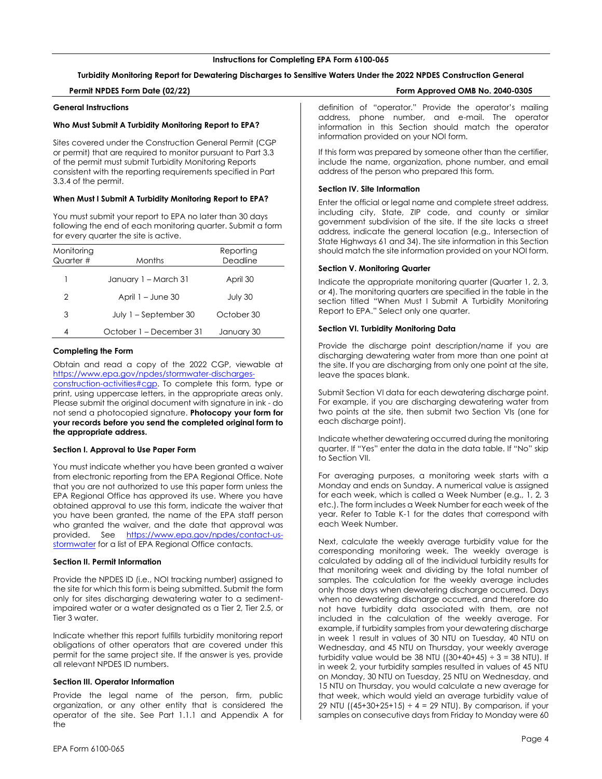# **Turbidity Monitoring Report for Dewatering Discharges to Sensitive Waters Under the 2022 NPDES Construction General**

# **Permit NPDES Form Date (02/22) Form Approved OMB No. 2040-0305**

# **General Instructions**

# **Who Must Submit A Turbidity Monitoring Report to EPA?**

Sites covered under the Construction General Permit (CGP or permit) that are required to monitor pursuant to Part 3.3 of the permit must submit Turbidity Monitoring Reports consistent with the reporting requirements specified in Part 3.3.4 of the permit.

# **When Must I Submit A Turbidity Monitoring Report to EPA?**

You must submit your report to EPA no later than 30 days following the end of each monitoring quarter. Submit a form for every quarter the site is active.

| Monitoring<br>Quarter # | Months                  | Reporting<br>Deadline |
|-------------------------|-------------------------|-----------------------|
|                         | January 1 - March 31    | April 30              |
| 2                       | April $1 -$ June 30     | July 30               |
| 3                       | July 1 – September 30   | October 30            |
| 4                       | October 1 – December 31 | January 30            |

# **Completing the Form**

Obtain and read a copy of the 2022 CGP, viewable at https://www.epa.gov/npdes/stormwater-discharges-

construction-activities#cgp. To complete this form, type or print, using uppercase letters, in the appropriate areas only. Please submit the original document with signature in ink - do not send a photocopied signature. **Photocopy your form for your records before you send the completed original form to the appropriate address.**

# <span id="page-4-0"></span>**Section I. Approval to Use Paper Form**

You must indicate whether you have been granted a waiver from electronic reporting from the EPA Regional Office. Note that you are not authorized to use this paper form unless the EPA Regional Office has approved its use. Where you have obtained approval to use this form, indicate the waiver that you have been granted, the name of the EPA staff person who granted the waiver, and the date that approval was provided. See https://www.epa.gov/npdes/contact-usstormwater for a list of EPA Regional Office contacts.

#### <span id="page-4-1"></span>**Section II. Permit Information**

Provide the NPDES ID (i.e., NOI tracking number) assigned to the site for which this form is being submitted. Submit the form only for sites discharging dewatering water to a sedimentimpaired water or a water designated as a Tier 2, Tier 2.5, or Tier 3 water.

Indicate whether this report fulfills turbidity monitoring report obligations of other operators that are covered under this permit for the same project site. If the answer is yes, provide all relevant NPDES ID numbers.

# <span id="page-4-2"></span>**Section III. Operator Information**

Provide the legal name of the person, firm, public organization, or any other entity that is considered the operator of the site. See Part 1.1.1 and Appendix A for the

definition of "operator." Provide the operator's mailing address, phone number, and e-mail. The operator information in this Section should match the operator information provided on your NOI form.

If this form was prepared by someone other than the certifier, include the name, organization, phone number, and email address of the person who prepared this form.

#### <span id="page-4-3"></span>**Section IV. Site Information**

Enter the official or legal name and complete street address, including city, State, ZIP code, and county or similar government subdivision of the site. If the site lacks a street address, indicate the general location (e.g., Intersection of State Highways 61 and 34). The site information in this Section should match the site information provided on your NOI form.

#### **Section V. Monitoring Quarter**

Indicate the appropriate monitoring quarter (Quarter 1, 2, 3, or 4). The monitoring quarters are specified in the table in the section titled "When Must I Submit A Turbidity Monitoring Report to EPA." Select only one quarter.

# **Section VI. Turbidity Monitoring Data**

Provide the discharge point description/name if you are discharging dewatering water from more than one point at the site. If you are discharging from only one point at the site, leave the spaces blank.

Submit Section VI data for each dewatering discharge point. For example, if you are discharging dewatering water from two points at the site, then submit two Section VIs (one for each discharge point).

Indicate whether dewatering occurred during the monitoring quarter. If "Yes" enter the data in the data table. If "No" skip to Section VII.

For averaging purposes, a monitoring week starts with a Monday and ends on Sunday. A numerical value is assigned for each week, which is called a Week Number (e.g., 1, 2, 3 etc.). The form includes a Week Number for each week of the year. Refer to Table K-1 for the dates that correspond with each Week Number.

Next, calculate the weekly average turbidity value for the corresponding monitoring week. The weekly average is calculated by adding all of the individual turbidity results for that monitoring week and dividing by the total number of samples. The calculation for the weekly average includes only those days when dewatering discharge occurred. Days when no dewatering discharge occurred, and therefore do not have turbidity data associated with them, are not included in the calculation of the weekly average. For example, if turbidity samples from your dewatering discharge in week 1 result in values of 30 NTU on Tuesday, 40 NTU on Wednesday, and 45 NTU on Thursday, your weekly average turbidity value would be 38 NTU ( $(30+40+45) \div 3 = 38$  NTU). If in week 2, your turbidity samples resulted in values of 45 NTU on Monday, 30 NTU on Tuesday, 25 NTU on Wednesday, and 15 NTU on Thursday, you would calculate a new average for that week, which would yield an average turbidity value of 29 NTU ( $(45+30+25+15) \div 4 = 29$  NTU). By comparison, if your samples on consecutive days from Friday to Monday were 60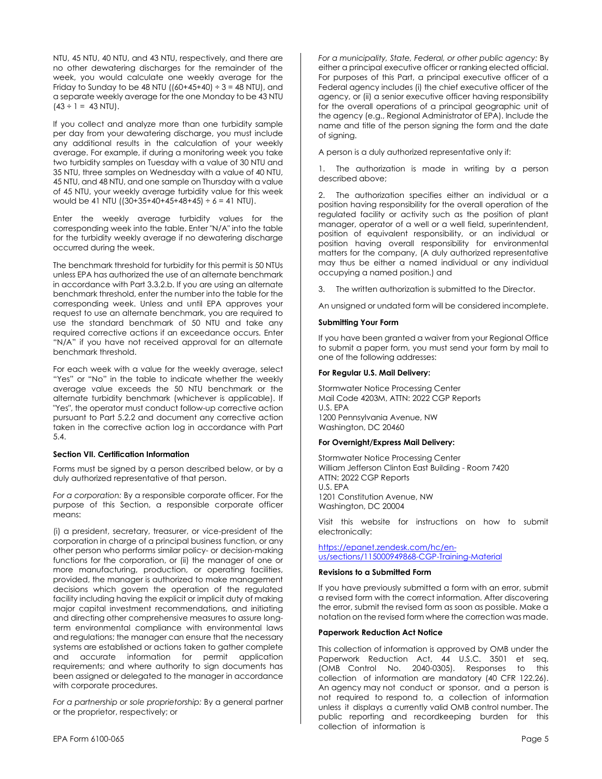NTU, 45 NTU, 40 NTU, and 43 NTU, respectively, and there are no other dewatering discharges for the remainder of the week, you would calculate one weekly average for the Friday to Sunday to be 48 NTU ( $(60+45+40) \div 3 = 48$  NTU), and a separate weekly average for the one Monday to be 43 NTU  $(43 \div 1 = 43 \text{ N})$ .

If you collect and analyze more than one turbidity sample per day from your dewatering discharge, you must include any additional results in the calculation of your weekly average. For example, if during a monitoring week you take two turbidity samples on Tuesday with a value of 30 NTU and 35 NTU, three samples on Wednesday with a value of 40 NTU, 45 NTU, and 48 NTU, and one sample on Thursday with a value of 45 NTU, your weekly average turbidity value for this week would be 41 NTU ( $(30+35+40+45+48+45) \div 6 = 41$  NTU).

Enter the weekly average turbidity values for the corresponding week into the table. Enter "N/A" into the table for the turbidity weekly average if no dewatering discharge occurred during the week.

The benchmark threshold for turbidity for this permit is 50 NTUs unless EPA has authorized the use of an alternate benchmark in accordance with Part 3.3.2.b. If you are using an alternate benchmark threshold, enter the number into the table for the corresponding week. Unless and until EPA approves your request to use an alternate benchmark, you are required to use the standard benchmark of 50 NTU and take any required corrective actions if an exceedance occurs. Enter "N/A" if you have not received approval for an alternate benchmark threshold.

For each week with a value for the weekly average, select "Yes" or "No" in the table to indicate whether the weekly average value exceeds the 50 NTU benchmark or the alternate turbidity benchmark (whichever is applicable). If "Yes", the operator must conduct follow-up corrective action pursuant to Part 5.2.2 and document any corrective action taken in the corrective action log in accordance with Part 5.4.

# **Section VII. Certification Information**

Forms must be signed by a person described below, or by a duly authorized representative of that person.

*For a corporation:* By a responsible corporate officer. For the purpose of this Section, a responsible corporate officer means:

(i) a president, secretary, treasurer, or vice-president of the corporation in charge of a principal business function, or any other person who performs similar policy- or decision-making functions for the corporation, or (ii) the manager of one or more manufacturing, production, or operating facilities, provided, the manager is authorized to make management decisions which govern the operation of the regulated facility including having the explicit or implicit duty of making major capital investment recommendations, and initiating and directing other comprehensive measures to assure longterm environmental compliance with environmental laws and regulations; the manager can ensure that the necessary systems are established or actions taken to gather complete and accurate information for permit application requirements; and where authority to sign documents has been assigned or delegated to the manager in accordance with corporate procedures.

*For a partnership or sole proprietorship:* By a general partner or the proprietor, respectively; or

*For a municipality, State, Federal, or other public agency:* By either a principal executive officer or ranking elected official. For purposes of this Part, a principal executive officer of a Federal agency includes (i) the chief executive officer of the agency, or (ii) a senior executive officer having responsibility for the overall operations of a principal geographic unit of the agency (e.g., Regional Administrator of EPA). Include the name and title of the person signing the form and the date of signing.

A person is a duly authorized representative only if:

The authorization is made in writing by a person described above;

2. The authorization specifies either an individual or a position having responsibility for the overall operation of the regulated facility or activity such as the position of plant manager, operator of a well or a well field, superintendent, position of equivalent responsibility, or an individual or position having overall responsibility for environmental matters for the company, (A duly authorized representative may thus be either a named individual or any individual occupying a named position.) and

3. The written authorization is submitted to the Director.

An unsigned or undated form will be considered incomplete.

#### **Submitting Your Form**

If you have been granted a waiver from your Regional Office to submit a paper form, you must send your form by mail to one of the following addresses:

#### **For Regular U.S. Mail Delivery:**

Stormwater Notice Processing Center Mail Code 4203M, ATTN: 2022 CGP Reports U.S. EPA 1200 Pennsylvania Avenue, NW Washington, DC 20460

# **For Overnight/Express Mail Delivery:**

Stormwater Notice Processing Center William Jefferson Clinton East Building - Room 7420 ATTN: 2022 CGP Reports U.S. EPA 1201 Constitution Avenue, NW Washington, DC 20004

Visit this website for instructions on how to submit electronically:

https://epanet.zendesk.com/hc/enus/sections/115000949868-CGP-Training-Material

#### **Revisions to a Submitted Form**

If you have previously submitted a form with an error, submit a revised form with the correct information. After discovering the error, submit the revised form as soon as possible. Make a notation on the revised form where the correction was made.

# **Paperwork Reduction Act Notice**

This collection of information is approved by OMB under the Paperwork Reduction Act, 44 U.S.C. 3501 et seq. (OMB Control No. 2040-0305). Responses to this collection of information are mandatory (40 CFR 122.26). An agency may not conduct or sponsor, and a person is not required to respond to, a collection of information unless it displays a currently valid OMB control number. The public reporting and recordkeeping burden for this collection of information is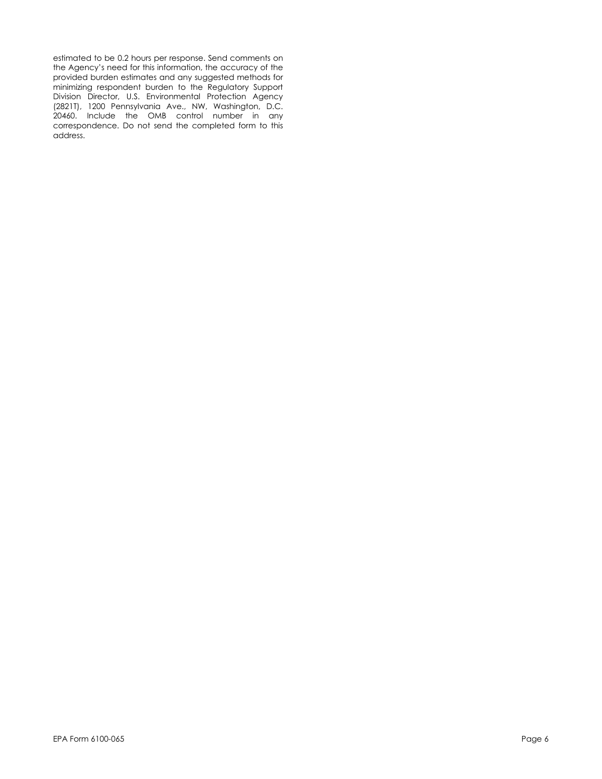estimated to be 0.2 hours per response. Send comments on the Agency's need for this information, the accuracy of the provided burden estimates and any suggested methods for minimizing respondent burden to the Regulatory Support Division Director, U.S. Environmental Protection Agency (2821T), 1200 Pennsylvania Ave., NW, Washington, D.C. 20460. Include the OMB control number in any correspondence. Do not send the completed form to this address.